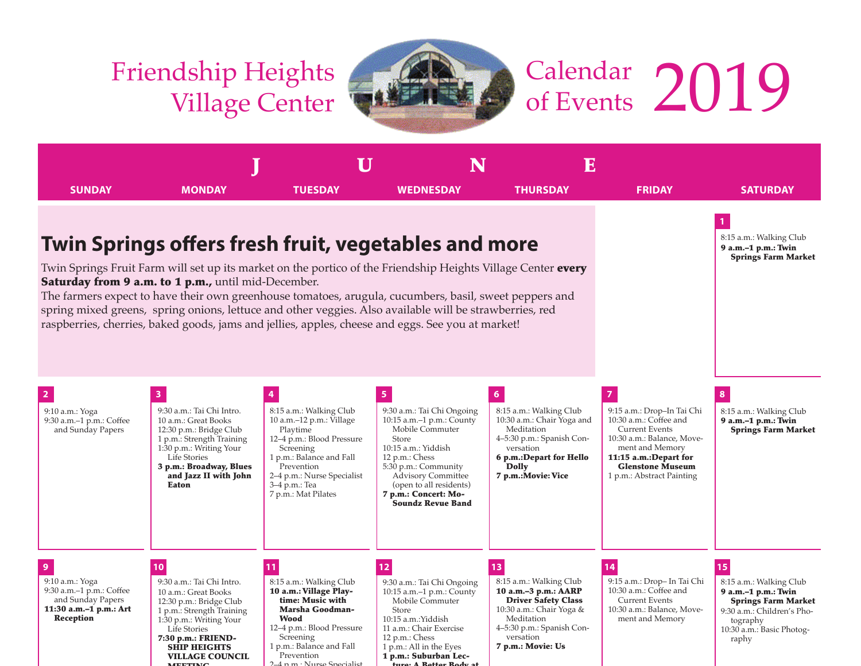MEETING

 $4.2$  p.m.: Nurse



## Calendar Friendship Heights Village Center The Calendar 2019



ture: A Better Body at